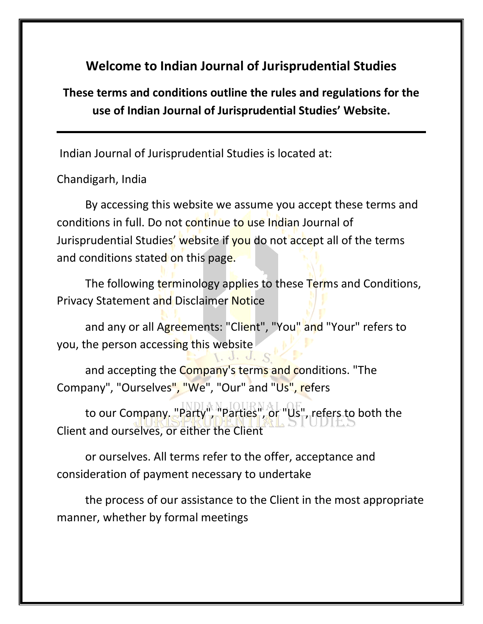# **Welcome to Indian Journal of Jurisprudential Studies**

**These terms and conditions outline the rules and regulations for the use of Indian Journal of Jurisprudential Studies' Website.**

Indian Journal of Jurisprudential Studies is located at:

Chandigarh, India

By accessing this website we assume you accept these terms and conditions in full. Do not continue to use Indian Journal of Jurisprudential Studies' website if you do not accept all of the terms and conditions stated on this page.

The following terminology applies to these Terms and Conditions, Privacy Statement and Disclaimer Notice

and any or all Agreements: "Client", "You" and "Your" refers to you, the person accessing this website

and accepting the Company's terms and conditions. "The Company", "Ourselves", "We", "Our" and "Us", refers

to our Company. "Party", "Parties", or "Us", refers to both the Client and ourselves, or either the Client

or ourselves. All terms refer to the offer, acceptance and consideration of payment necessary to undertake

the process of our assistance to the Client in the most appropriate manner, whether by formal meetings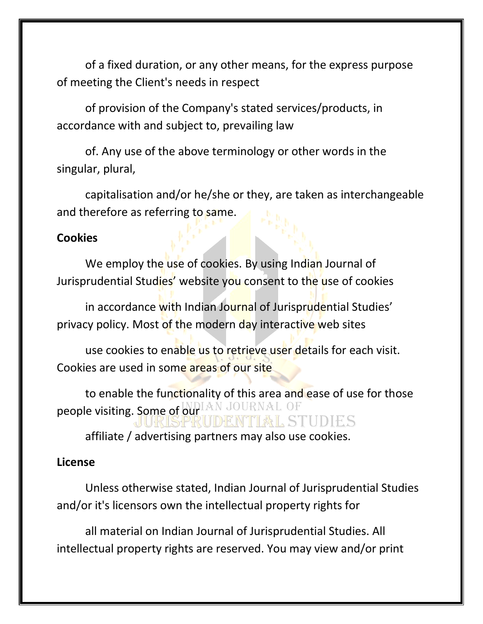of a fixed duration, or any other means, for the express purpose of meeting the Client's needs in respect

of provision of the Company's stated services/products, in accordance with and subject to, prevailing law

of. Any use of the above terminology or other words in the singular, plural,

capitalisation and/or he/she or they, are taken as interchangeable and therefore as referring to same.

#### **Cookies**

We employ the use of cookies. By using Indian Journal of Jurisprudential Studies' website you consent to the use of cookies

in accordance with Indian Journal of Jurisprudential Studies' privacy policy. Most of the modern day interactive web sites

use cookies to enable us to retrieve user details for each visit. Cookies are used in some areas of our site

to enable the functionality of this area and ease of use for those people visiting. Some of our LAN JOURNAL OF TIAL STUDES

affiliate / advertising partners may also use cookies.

#### **License**

Unless otherwise stated, Indian Journal of Jurisprudential Studies and/or it's licensors own the intellectual property rights for

all material on Indian Journal of Jurisprudential Studies. All intellectual property rights are reserved. You may view and/or print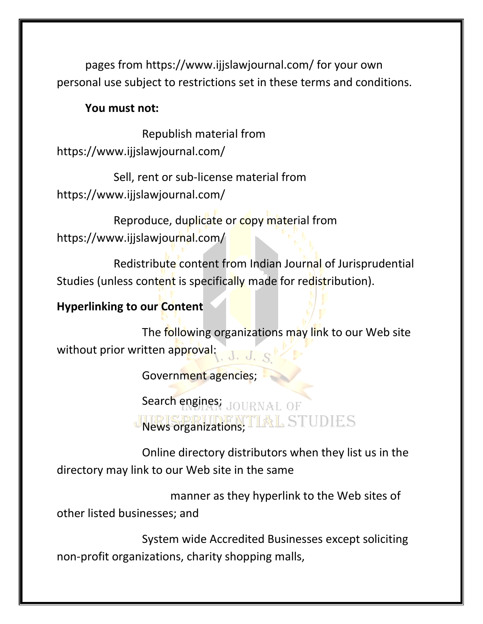pages from https://www.ijjslawjournal.com/ for your own personal use subject to restrictions set in these terms and conditions.

#### **You must not:**

Republish material from https://www.ijjslawjournal.com/

Sell, rent or sub-license material from https://www.ijjslawjournal.com/

Reproduce, duplicate or copy material from https://www.ijjslawjournal.com/

Redistribute content from Indian Journal of Jurisprudential Studies (unless content is specifically made for redistribution).

# **Hyperlinking to our Content**

The following organizations may link to our Web site without prior written approval:  $J_{\cdot}$ ,  $J_{\cdot}$   $S$ 

Government agencies;

Search engines; JOURNAL OF News organizations; TIMEL STUDIES

Online directory distributors when they list us in the directory may link to our Web site in the same

manner as they hyperlink to the Web sites of other listed businesses; and

System wide Accredited Businesses except soliciting non-profit organizations, charity shopping malls,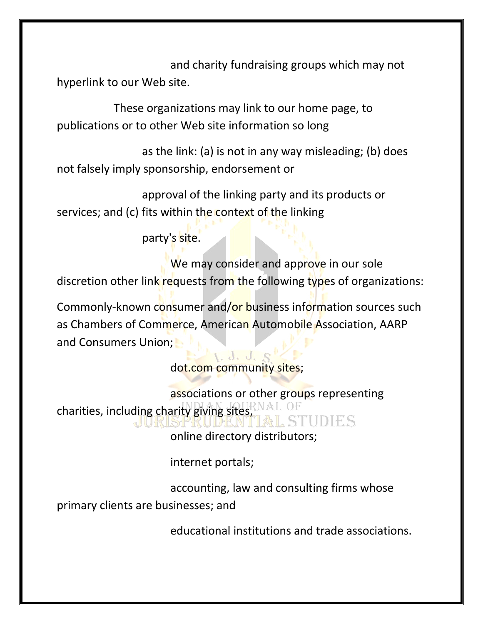and charity fundraising groups which may not hyperlink to our Web site.

These organizations may link to our home page, to publications or to other Web site information so long

as the link: (a) is not in any way misleading; (b) does not falsely imply sponsorship, endorsement or

approval of the linking party and its products or services; and (c) fits within the context of the linking

party's site.

We may consider and approve in our sole discretion other link requests from the following types of organizations:

Commonly-known consumer and/or business information sources such as Chambers of Commerce, American Automobile Association, AARP and Consumers Union;

> 1. d. d. dot.com community sites;

associations or other groups representing charities, including charity giving sites, THDIFES

online directory distributors;

internet portals;

accounting, law and consulting firms whose primary clients are businesses; and

educational institutions and trade associations.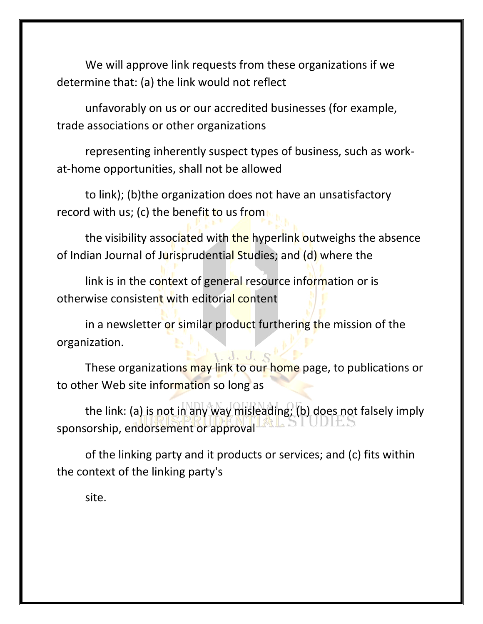We will approve link requests from these organizations if we determine that: (a) the link would not reflect

unfavorably on us or our accredited businesses (for example, trade associations or other organizations

representing inherently suspect types of business, such as workat-home opportunities, shall not be allowed

to link); (b)the organization does not have an unsatisfactory record with us; (c) the benefit to us from

the visibility associated with the hyperlink outweighs the absence of Indian Journal of Jurisprudential Studies; and (d) where the

link is in the context of general resource information or is otherwise consistent with editorial content

in a newsletter or similar product furthering the mission of the organization.

These organizations may link to our home page, to publications or to other Web site information so long as

the link: (a) is not in any way misleading; (b) does not falsely imply sponsorship, endorsement or approval

of the linking party and it products or services; and (c) fits within the context of the linking party's

site.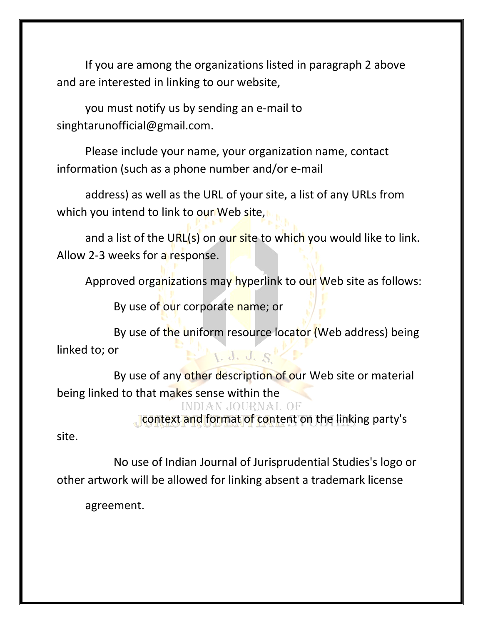If you are among the organizations listed in paragraph 2 above and are interested in linking to our website,

you must notify us by sending an e-mail to singhtarunofficial@gmail.com.

Please include your name, your organization name, contact information (such as a phone number and/or e-mail

address) as well as the URL of your site, a list of any URLs from which you intend to link to our Web site,

and a list of the URL(s) on our site to which you would like to link. Allow 2-3 weeks for a response.

Approved organizations may hyperlink to our Web site as follows:

By use of our corporate name; or

By use of the uniform resource locator (Web address) being linked to; or 1. J. J. S'

By use of any other description of our Web site or material being linked to that makes sense within the

**INDIAN JOURNAL OF** 

context and format of content on the linking party's

site.

No use of Indian Journal of Jurisprudential Studies's logo or other artwork will be allowed for linking absent a trademark license

agreement.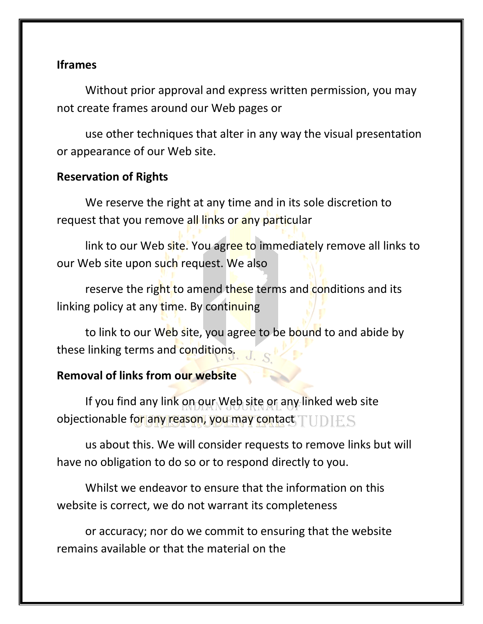# **Iframes**

Without prior approval and express written permission, you may not create frames around our Web pages or

use other techniques that alter in any way the visual presentation or appearance of our Web site.

# **Reservation of Rights**

We reserve the right at any time and in its sole discretion to request that you remove all links or any particular

link to our Web site. You agree to immediately remove all links to our Web site upon such request. We also

reserve the right to amend these terms and conditions and its linking policy at any time. By continuing

to link to our Web site, you agree to be bound to and abide by these linking terms and conditions.

# **Removal of links from our website**

If you find any link on our Web site or any linked web site objectionable for any reason, you may contact TUDIES

us about this. We will consider requests to remove links but will have no obligation to do so or to respond directly to you.

Whilst we endeavor to ensure that the information on this website is correct, we do not warrant its completeness

or accuracy; nor do we commit to ensuring that the website remains available or that the material on the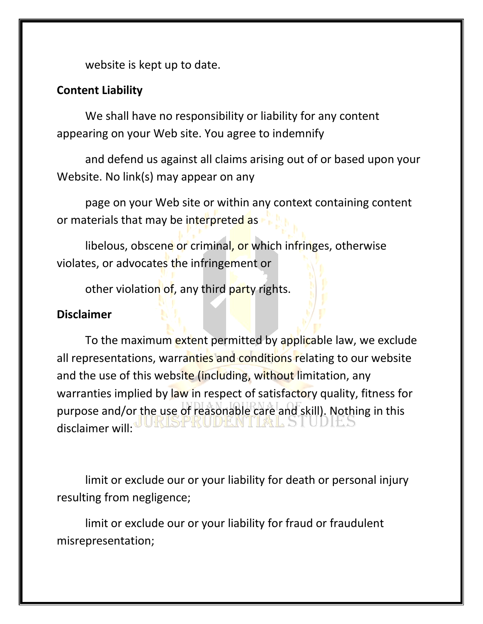website is kept up to date.

### **Content Liability**

We shall have no responsibility or liability for any content appearing on your Web site. You agree to indemnify

and defend us against all claims arising out of or based upon your Website. No link(s) may appear on any

page on your Web site or within any context containing content or materials that may be interpreted as

libelous, obscene or criminal, or which infringes, otherwise violates, or advocates the infringement or

other violation of, any third party rights.

#### **Disclaimer**

To the maximum extent permitted by applicable law, we exclude all representations, warranties and conditions relating to our website and the use of this website (including, without limitation, any warranties implied by law in respect of satisfactory quality, fitness for purpose and/or the use of reasonable care and skill). Nothing in this disclaimer will:

limit or exclude our or your liability for death or personal injury resulting from negligence;

limit or exclude our or your liability for fraud or fraudulent misrepresentation;